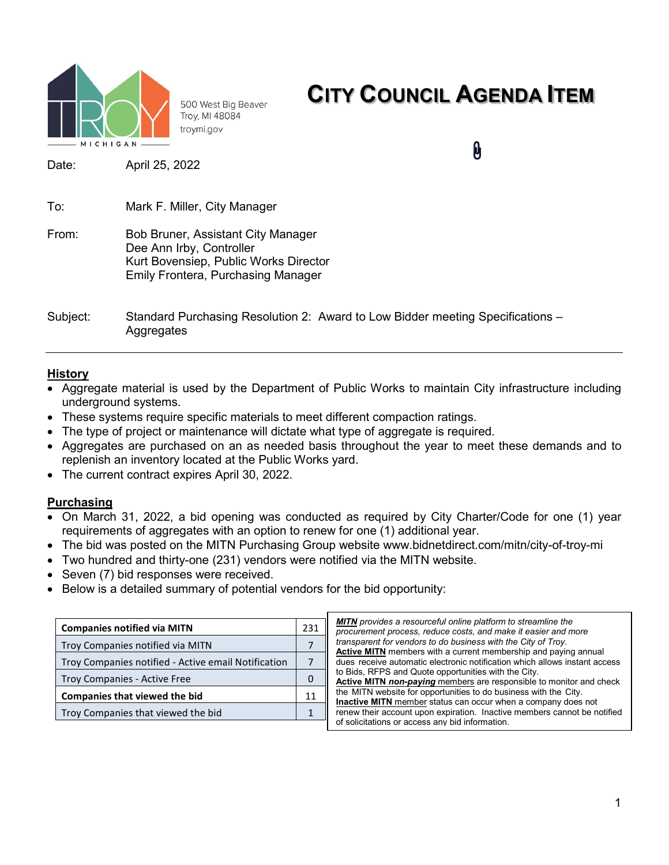

500 West Big Beaver Troy, MI 48084 troymi.gov

### **CITY COUNCIL AGENDA ITEM**

0

Date: April 25, 2022

| To:      | Mark F. Miller, City Manager                                                                                                                         |
|----------|------------------------------------------------------------------------------------------------------------------------------------------------------|
| From:    | Bob Bruner, Assistant City Manager<br>Dee Ann Irby, Controller<br>Kurt Bovensiep, Public Works Director<br><b>Emily Frontera, Purchasing Manager</b> |
| Subject: | Standard Purchasing Resolution 2: Award to Low Bidder meeting Specifications –                                                                       |

### **History**

- Aggregate material is used by the Department of Public Works to maintain City infrastructure including underground systems.
- These systems require specific materials to meet different compaction ratings.
- The type of project or maintenance will dictate what type of aggregate is required.
- Aggregates are purchased on an as needed basis throughout the year to meet these demands and to replenish an inventory located at the Public Works yard.
- The current contract expires April 30, 2022.

**Aggregates** 

### **Purchasing**

- On March 31, 2022, a bid opening was conducted as required by City Charter/Code for one (1) year requirements of aggregates with an option to renew for one (1) additional year.
- The bid was posted on the MITN Purchasing Group website www.bidnetdirect.com/mitn/city-of-troy-mi
- Two hundred and thirty-one (231) vendors were notified via the MITN website.
- Seven (7) bid responses were received.
- Below is a detailed summary of potential vendors for the bid opportunity:

| <b>Companies notified via MITN</b>                  | 231 | <b>MITN</b> pre<br>procurer |  |  |
|-----------------------------------------------------|-----|-----------------------------|--|--|
| Troy Companies notified via MITN                    |     | transpar<br><b>Active N</b> |  |  |
| Troy Companies notified - Active email Notification |     | dues red                    |  |  |
| <b>Troy Companies - Active Free</b>                 | 0   | to Bids.<br><b>Active N</b> |  |  |
| <b>Companies that viewed the bid</b>                | 11  | the MIT<br>Inactive         |  |  |
| Troy Companies that viewed the bid                  |     | renew th<br>of solicit:     |  |  |
|                                                     |     |                             |  |  |

*MITN provides a resourceful online platform to streamline the process, reduce costs, and make it easier and more* ent for vendors to do business with the City of Troy. **AITN** members with a current membership and paying annual ceive automatic electronic notification which allows instant access RFPS and Quote opportunities with the City. **AITN non-paying** members are responsible to monitor and check V website for opportunities to do business with the City. **MITN** member status can occur when a company does not eir account upon expiration. Inactive members cannot be notified of solicitations or access any bid information.

1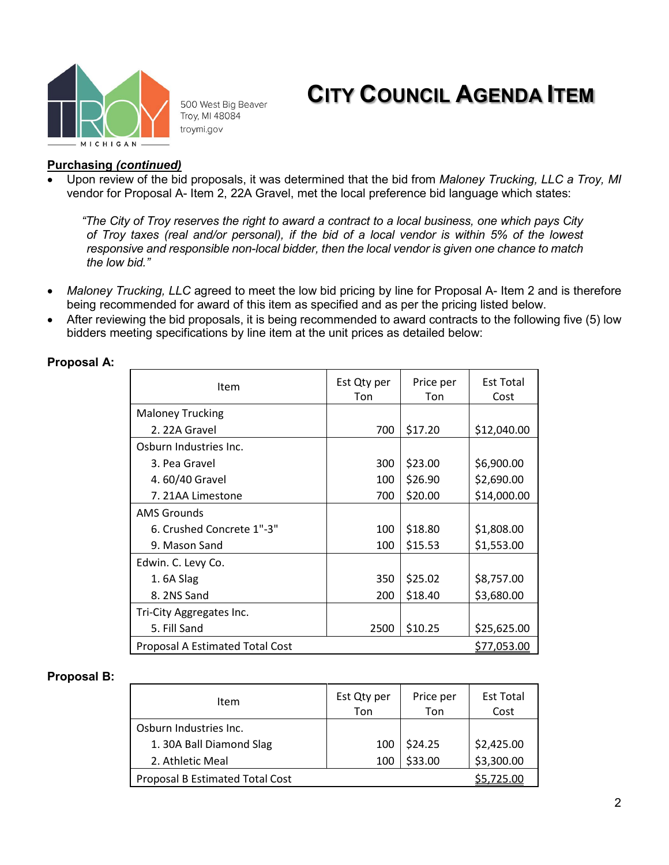

500 West Big Beaver Troy, MI 48084 troymi.gov

## **CITY COUNCIL AGENDA ITEM**

### **Purchasing** *(continued)*

• Upon review of the bid proposals, it was determined that the bid from *Maloney Trucking, LLC a Troy, MI* vendor for Proposal A- Item 2, 22A Gravel, met the local preference bid language which states:

*"The City of Troy reserves the right to award a contract to a local business, one which pays City of Troy taxes (real and/or personal), if the bid of a local vendor is within 5% of the lowest responsive and responsible non-local bidder, then the local vendor is given one chance to match the low bid."*

- *Maloney Trucking, LLC* agreed to meet the low bid pricing by line for Proposal A- Item 2 and is therefore being recommended for award of this item as specified and as per the pricing listed below.
- After reviewing the bid proposals, it is being recommended to award contracts to the following five (5) low bidders meeting specifications by line item at the unit prices as detailed below:

| Item                                   | Est Qty per<br>Ton | Price per<br>Ton | <b>Est Total</b><br>Cost |  |
|----------------------------------------|--------------------|------------------|--------------------------|--|
| <b>Maloney Trucking</b>                |                    |                  |                          |  |
| 2. 22A Gravel                          | 700                | \$17.20          | \$12,040.00              |  |
| Osburn Industries Inc.                 |                    |                  |                          |  |
| 3. Pea Gravel                          | 300                | \$23.00          | \$6,900.00               |  |
| 4.60/40 Gravel                         | 100                | \$26.90          | \$2,690.00               |  |
| 7. 21AA Limestone                      | 700                | \$20.00          | \$14,000.00              |  |
| <b>AMS Grounds</b>                     |                    |                  |                          |  |
| 6. Crushed Concrete 1"-3"              | 100                | \$18.80          | \$1,808.00               |  |
| 9. Mason Sand                          | 100                | \$15.53          | \$1,553.00               |  |
| Edwin. C. Levy Co.                     |                    |                  |                          |  |
| 1.6A Slag                              | 350                | \$25.02          | \$8,757.00               |  |
| 8.2NS Sand                             | 200                | \$18.40          | \$3,680.00               |  |
| Tri-City Aggregates Inc.               |                    |                  |                          |  |
| 5. Fill Sand                           | 2500               | \$10.25          | \$25,625.00              |  |
| <b>Proposal A Estimated Total Cost</b> |                    |                  | \$77,053.00              |  |

### **Proposal A:**

#### **Proposal B:**

| Item                                   | Est Qty per<br>Ton | Price per<br>Ton | <b>Est Total</b><br>Cost |
|----------------------------------------|--------------------|------------------|--------------------------|
| Osburn Industries Inc.                 |                    |                  |                          |
| 1. 30A Ball Diamond Slag               | 100                | \$24.25          |                          |
| 2. Athletic Meal                       | 100                | \$33.00          | \$2,425.00<br>\$3,300.00 |
| <b>Proposal B Estimated Total Cost</b> |                    |                  | 5.725.00                 |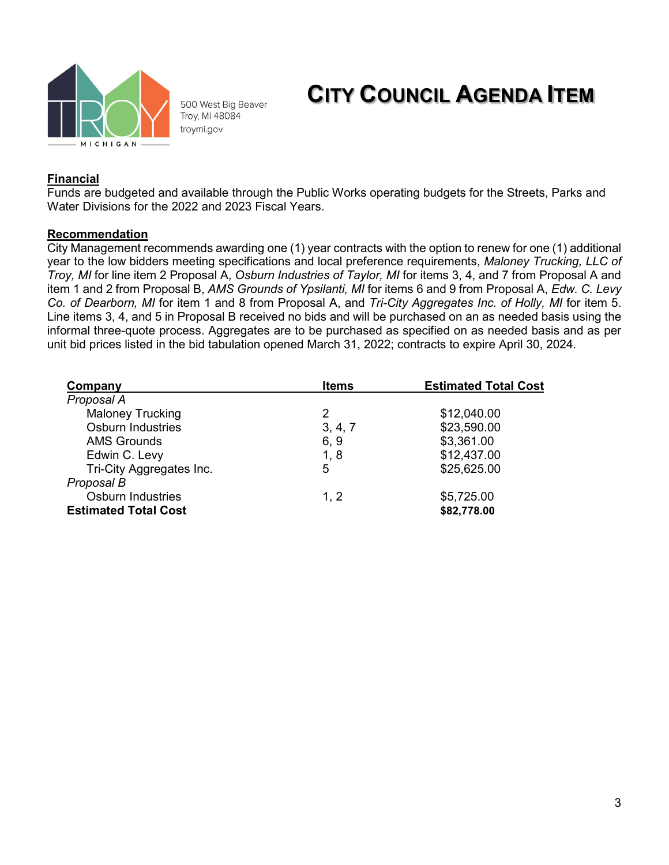

500 West Big Beaver Troy, MI 48084 troymi.gov

### **CITY COUNCIL AGENDA ITEM**

### **Financial**

Funds are budgeted and available through the Public Works operating budgets for the Streets, Parks and Water Divisions for the 2022 and 2023 Fiscal Years.

### **Recommendation**

City Management recommends awarding one (1) year contracts with the option to renew for one (1) additional year to the low bidders meeting specifications and local preference requirements, *Maloney Trucking, LLC of Troy, MI* for line item 2 Proposal A, *Osburn Industries of Taylor, MI* for items 3, 4, and 7 from Proposal A and item 1 and 2 from Proposal B, *AMS Grounds of Ypsilanti, MI* for items 6 and 9 from Proposal A, *Edw. C. Levy Co. of Dearborn, MI* for item 1 and 8 from Proposal A, and *Tri-City Aggregates Inc. of Holly, MI* for item 5. Line items 3, 4, and 5 in Proposal B received no bids and will be purchased on an as needed basis using the informal three-quote process. Aggregates are to be purchased as specified on as needed basis and as per unit bid prices listed in the bid tabulation opened March 31, 2022; contracts to expire April 30, 2024.

| Company                     | <b>Items</b> | <b>Estimated Total Cost</b> |  |  |
|-----------------------------|--------------|-----------------------------|--|--|
| Proposal A                  |              |                             |  |  |
| <b>Maloney Trucking</b>     | 2            | \$12,040.00                 |  |  |
| <b>Osburn Industries</b>    | 3, 4, 7      | \$23,590.00                 |  |  |
| <b>AMS Grounds</b>          | 6, 9         | \$3,361.00                  |  |  |
| Edwin C. Levy               | 1, 8         | \$12,437.00                 |  |  |
| Tri-City Aggregates Inc.    | 5            | \$25,625.00                 |  |  |
| Proposal B                  |              |                             |  |  |
| <b>Osburn Industries</b>    | 1, 2         | \$5,725.00                  |  |  |
| <b>Estimated Total Cost</b> |              | \$82,778.00                 |  |  |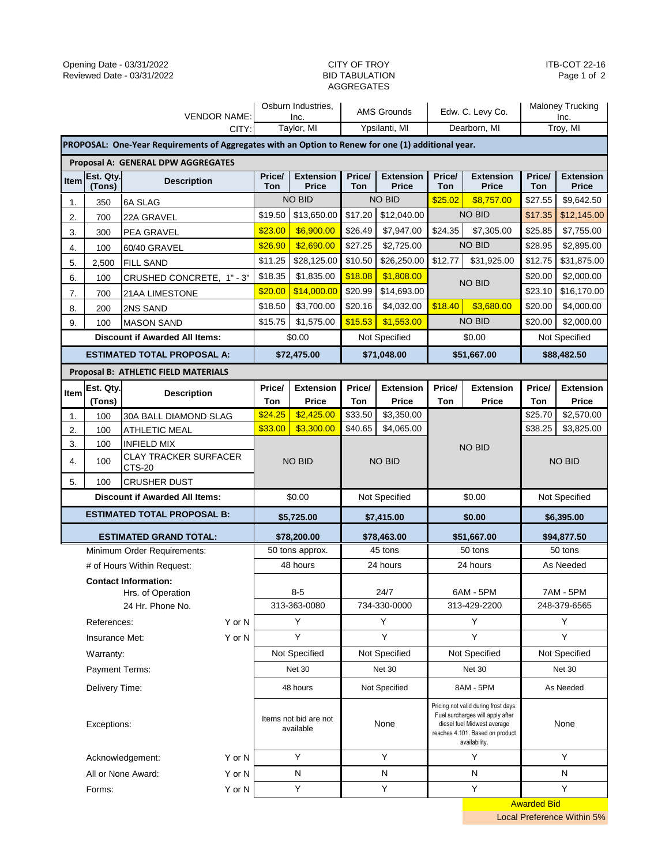# AGGREGATES

ITB-COT 22-16 Page 1 of 2

| <b>VENDOR NAME:</b>                   |                                                                                                    |                                       | Osburn Industries,<br>Inc.         |                                  | <b>AMS Grounds</b> |                                  | Edw. C. Levy Co.                                                                                                                                            |                                  | <b>Maloney Trucking</b><br>Inc. |                                  |  |
|---------------------------------------|----------------------------------------------------------------------------------------------------|---------------------------------------|------------------------------------|----------------------------------|--------------------|----------------------------------|-------------------------------------------------------------------------------------------------------------------------------------------------------------|----------------------------------|---------------------------------|----------------------------------|--|
| CITY:                                 |                                                                                                    |                                       | Taylor, MI                         |                                  | Ypsilanti, MI      |                                  | Dearborn, MI                                                                                                                                                |                                  | Troy, MI                        |                                  |  |
|                                       | PROPOSAL: One-Year Requirements of Aggregates with an Option to Renew for one (1) additional year. |                                       |                                    |                                  |                    |                                  |                                                                                                                                                             |                                  |                                 |                                  |  |
| Proposal A: GENERAL DPW AGGREGATES    |                                                                                                    |                                       |                                    |                                  |                    |                                  |                                                                                                                                                             |                                  |                                 |                                  |  |
| Item                                  | Est. Qty.<br>(Tons)                                                                                | <b>Description</b>                    | Price/<br>Ton                      | <b>Extension</b><br><b>Price</b> | Price/<br>Ton      | <b>Extension</b><br><b>Price</b> | Price/<br>Ton                                                                                                                                               | <b>Extension</b><br><b>Price</b> | Price/<br>Ton                   | <b>Extension</b><br><b>Price</b> |  |
| 1.                                    | 350                                                                                                | 6A SLAG                               |                                    | <b>NO BID</b>                    |                    | <b>NO BID</b>                    | \$25.02                                                                                                                                                     | \$8,757.00                       | \$27.55                         | \$9,642.50                       |  |
| 2.                                    | 700                                                                                                | 22A GRAVEL                            | \$19.50                            | \$13,650.00                      | \$17.20            | \$12,040.00                      |                                                                                                                                                             | <b>NO BID</b>                    | \$17.35                         | \$12,145.00                      |  |
| 3.                                    | 300                                                                                                | PEA GRAVEL                            | \$23.00                            | \$6,900.00                       | \$26.49            | \$7,947.00                       | \$24.35                                                                                                                                                     | \$7,305.00                       | \$25.85                         | \$7,755.00                       |  |
| 4.                                    | 100                                                                                                | 60/40 GRAVEL                          | \$26.90                            | \$2,690.00                       | \$27.25            | \$2,725.00                       |                                                                                                                                                             | <b>NO BID</b>                    | \$28.95                         | \$2,895.00                       |  |
| 5.                                    | 2,500                                                                                              | <b>FILL SAND</b>                      | \$11.25                            | \$28,125.00                      | \$10.50            | \$26,250.00                      | \$12.77                                                                                                                                                     | \$31,925.00                      | \$12.75                         | \$31,875.00                      |  |
| 6.                                    | 100                                                                                                | CRUSHED CONCRETE, 1" - 3"             | \$18.35                            | \$1,835.00                       | \$18.08            | \$1,808.00                       |                                                                                                                                                             | <b>NO BID</b>                    | \$20.00                         | \$2,000.00                       |  |
| 7.                                    | 700                                                                                                | 21AA LIMESTONE                        | \$20.00                            | \$14,000.00                      | \$20.99            | \$14,693.00                      |                                                                                                                                                             |                                  | \$23.10                         | \$16,170.00                      |  |
| 8.                                    | 200                                                                                                | 2NS SAND                              | \$18.50                            | \$3,700.00                       | \$20.16            | \$4,032.00                       | \$18.40                                                                                                                                                     | \$3,680.00                       | \$20.00                         | \$4,000.00                       |  |
| 9.                                    | 100                                                                                                | <b>MASON SAND</b>                     | \$15.75                            | \$1,575.00                       | \$15.53            | \$1,553.00                       |                                                                                                                                                             | <b>NO BID</b>                    | \$20.00                         | \$2,000.00                       |  |
|                                       |                                                                                                    | <b>Discount if Awarded All Items:</b> |                                    | \$0.00                           |                    | Not Specified                    |                                                                                                                                                             | \$0.00                           | Not Specified                   |                                  |  |
|                                       |                                                                                                    | <b>ESTIMATED TOTAL PROPOSAL A:</b>    |                                    | \$72,475.00                      |                    | \$71,048.00                      |                                                                                                                                                             | \$51,667.00                      | \$88,482.50                     |                                  |  |
|                                       |                                                                                                    | Proposal B: ATHLETIC FIELD MATERIALS  |                                    |                                  |                    |                                  |                                                                                                                                                             |                                  |                                 |                                  |  |
| Item                                  | Est. Qty.                                                                                          | <b>Description</b>                    | Price/                             | <b>Extension</b>                 | Price/             | <b>Extension</b>                 | Price/                                                                                                                                                      | <b>Extension</b>                 | Price/                          | <b>Extension</b>                 |  |
|                                       | (Tons)                                                                                             |                                       | Ton                                | Price                            | Ton                | Price                            | Ton                                                                                                                                                         | <b>Price</b>                     | Ton                             | Price                            |  |
| 1.                                    | 100                                                                                                | 30A BALL DIAMOND SLAG                 | \$24.25                            | \$2,425.00                       | \$33.50            | \$3,350.00                       |                                                                                                                                                             |                                  | \$25.70                         | \$2,570.00                       |  |
| 2.                                    | 100                                                                                                | ATHLETIC MEAL                         | \$33.00                            | \$3,300.00                       | \$40.65            | \$4,065.00                       |                                                                                                                                                             |                                  | \$38.25                         | \$3,825.00                       |  |
| 3.                                    | 100                                                                                                | INFIELD MIX<br>CLAY TRACKER SURFACER  |                                    |                                  |                    |                                  | <b>NO BID</b>                                                                                                                                               |                                  | no bid                          |                                  |  |
| 4.                                    | 100                                                                                                | CTS-20                                |                                    | NO BID                           |                    | <b>NO BID</b>                    |                                                                                                                                                             |                                  |                                 |                                  |  |
| 5.                                    | 100                                                                                                | <b>CRUSHER DUST</b>                   |                                    |                                  |                    |                                  |                                                                                                                                                             |                                  |                                 |                                  |  |
| <b>Discount if Awarded All Items:</b> |                                                                                                    |                                       | \$0.00                             |                                  | Not Specified      |                                  | \$0.00                                                                                                                                                      |                                  | Not Specified                   |                                  |  |
|                                       |                                                                                                    | <b>ESTIMATED TOTAL PROPOSAL B:</b>    |                                    | \$5,725.00                       |                    | \$7,415.00                       | \$0.00                                                                                                                                                      |                                  | \$6,395.00                      |                                  |  |
|                                       |                                                                                                    | <b>ESTIMATED GRAND TOTAL:</b>         |                                    | \$78,200.00                      |                    | \$78,463.00                      |                                                                                                                                                             | \$51,667.00                      |                                 | \$94,877.50                      |  |
|                                       |                                                                                                    | Minimum Order Requirements:           | 50 tons approx.                    |                                  | 45 tons            |                                  | 50 tons                                                                                                                                                     |                                  | 50 tons                         |                                  |  |
|                                       |                                                                                                    | # of Hours Within Request:            | 48 hours                           |                                  | 24 hours           |                                  | 24 hours                                                                                                                                                    |                                  | As Needed                       |                                  |  |
|                                       |                                                                                                    | <b>Contact Information:</b>           |                                    |                                  |                    |                                  |                                                                                                                                                             |                                  |                                 |                                  |  |
|                                       |                                                                                                    | Hrs. of Operation                     | $8 - 5$                            |                                  | 24/7               |                                  | 6AM - 5PM                                                                                                                                                   |                                  | <b>7AM - 5PM</b>                |                                  |  |
|                                       |                                                                                                    | 24 Hr. Phone No.                      | 313-363-0080                       |                                  | 734-330-0000       |                                  | 313-429-2200                                                                                                                                                |                                  | 248-379-6565                    |                                  |  |
| Y or N<br>References:                 |                                                                                                    | Υ                                     |                                    | Υ                                |                    | Υ                                |                                                                                                                                                             | Υ                                |                                 |                                  |  |
|                                       | Insurance Met:                                                                                     | Y or N                                |                                    | Y                                |                    | Y                                |                                                                                                                                                             | Υ                                |                                 | Y                                |  |
|                                       | Warranty:                                                                                          |                                       | Not Specified                      |                                  | Not Specified      |                                  | Not Specified                                                                                                                                               |                                  | Not Specified                   |                                  |  |
| Payment Terms:                        |                                                                                                    |                                       | Net 30                             |                                  | Net 30             |                                  | Net 30                                                                                                                                                      |                                  | Net 30                          |                                  |  |
| Delivery Time:                        |                                                                                                    |                                       | 48 hours                           |                                  | Not Specified      |                                  | 8AM - 5PM                                                                                                                                                   |                                  | As Needed                       |                                  |  |
| Exceptions:                           |                                                                                                    |                                       | Items not bid are not<br>available |                                  | None               |                                  | Pricing not valid during frost days.<br>Fuel surcharges will apply after<br>diesel fuel Midwest average<br>reaches 4.101. Based on product<br>availability. |                                  | None                            |                                  |  |
|                                       |                                                                                                    | Acknowledgement:<br>Y or N            |                                    | Y                                |                    | Y                                |                                                                                                                                                             | Y                                |                                 | Y                                |  |
|                                       |                                                                                                    | All or None Award:<br>Y or N          |                                    | N                                | N                  |                                  |                                                                                                                                                             | N                                |                                 | N                                |  |
|                                       | Forms:                                                                                             | Y or N                                |                                    | Υ                                |                    | Υ                                |                                                                                                                                                             | Υ                                |                                 | Y                                |  |
|                                       |                                                                                                    |                                       |                                    |                                  |                    |                                  |                                                                                                                                                             |                                  | <b>Awarded Bid</b>              |                                  |  |

Local Preference Within 5%